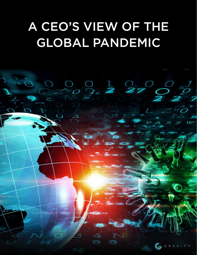# A CEO'S VIEW OF THE GLOBAL PANDEMIC

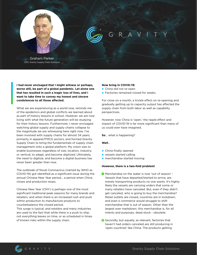Gravity Supply Chain Solutions

**I had never envisaged that I might witness or perhaps, worse still, be part of a global pandemic. Let alone one that has resulted in such a tragic loss of lives, and I want to take time to convey my honest and sincere**  condolences to all those affected.

What we are experiencing as a world now, reminds me of the epidemics and global conflicts we learned about as part of history lessons in school. However, we are now living with what the future generation will be studying for their history lessons. Furthermore, I never envisaged watching global supply and supply chains collapse to the magnitude we are witnessing here right now. I've been involved with supply chains for almost 34 years, primarily in apparel/FMCG sectors, and formed Gravity Supply Chain to bring the fundamentals of supply chain management onto a global platform. My vision was to enable businesses regardless of size, location, industry, or vertical, to adapt, and become digitized. Ultimately, the need to digitize, and become a digital business has never been greater than now.

For close on a month, a trickle effect on re-opening and gradually getting up to capacity output has affected the supply chain from both labor as well as capability perspectives.

However, now China is 'open,' the ripple effect and impact of COVID-19 is far more significant than many of us could ever have imagined.

The outbreak of Novel Coronavirus (named by WHO as COVID-19) got identified as a significant issue during the annual Chinese New Year period... a period when China closes and production stops.

Chinese New Year (CNY) is perhaps one of the most significant traditional peak seasons for many brands and retailers, and when there is an increased rush and push within production to manufacture products to counterbalance the closed period.

> 2 Secondly, but equally, as relevant, factories that haven't had orders canceled are still producing in 'open countries' like China. The products getting



This surge is typical, and retailers and many industries are used to the fact that while there is a push to ship, not everything leaves on time, or as scheduled in times of known risks within the supply chain.

#### **Now bring in COVID-19:**

- ▶ China did not re-open
- ▶ Factories remained closed for weeks.

**So**... what is happening?

#### **Well**...

- ▶ China finally opened
- ▶ vessels started calling
- ▶ merchandise started moving

#### **However, there is a two-fold problem!**

Merchandise on the water is now 'out of season' - **1** Vessels that have departed/started to arrive, are merely transporting products no one wants. It's highly likely the vessels are carrying orders that some or many retailers have canceled. But, even if they didn't get canceled, who is going to buy the merchandise? Retail outlets are closed, countries are in lockdown, and even e commerce would struggle to shift merchandise that is out of season. Other than the largest ever markdown, this merchandise is, for all intents and purposes, dead stock - obsolete.

### Graham Parker CEO, Gravity Supply Chain Solutions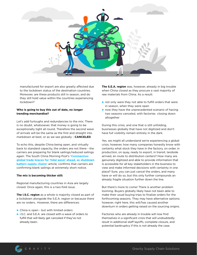Gravity Supply Chain Solutions



manufactured for export are also greatly affected due to the lockdown status of the destination countries. Moreover, are these products still in season, and do they still hold value within the countries experiencing lockdown?

**The I.S.C. region** as a whole is majority closed as part of a lockdown alongside the S.E.A. region or because there are no orders.. However, there are differences:

## **Who is going to buy this out of date, no longer trending merchandise?**

Let's add furloughs and redundancies to the mix: There is no doubt, whatsoever, that money is going to be exceptionally tight all round. Therefore the second wave of arrivals will be the same as the first and straight into markdown at best, or as we see globally - **CANCELED**.

To echo this, despite China being open, and virtually back to standard capacity, the orders are not there - the carriers are preparing for blank sailings/reduced sailings again. The South China Morning Post's **['Coronavirus:](https://www.scmp.com/economy/china-economy/article/3078233/coronavirus-global-trade-braces-tidal-wave-ahead-shutdown)  [global trade braces for 'tidal wave' ahead, as shutdown](https://www.scmp.com/economy/china-economy/article/3078233/coronavirus-global-trade-braces-tidal-wave-ahead-shutdown)  [batters supply chains'](https://www.scmp.com/economy/china-economy/article/3078233/coronavirus-global-trade-braces-tidal-wave-ahead-shutdown)** article, confirms that carriers are confirming blank sailings at extremely short notice.

#### **The mix is becoming thicker still:**

Regional manufacturing countries in Asia are largely closed. Once again, this is a two-fold issue.

► China is open - but with limited orders

► I.S.C. and S.E.A. are closed with a wave of orders to fulfill that will likely get canceled if they've not already been.

**The S.E.A. region** was, however, already in big trouble when China closed as they procure a vast majority of raw materials from China. As a result:

- ► not only were they not able to fulfill orders that were in season, when they were open
- ▶ now they have the unprecedented scenario of having two seasons canceled, with factories closing down altogether

During this crisis, and one that is still unfolding, businesses globally that have not digitized and don't have full visibility remain entirely in the dark.

Yes, we might all understand we're experiencing a global crisis; however, how many companies honestly know with certainty what stock they have in the factory, on order, in production, on quay, ready to export, in transit, landside arrived, en route to distribution centers? How many are genuinely digitized and able to provide information that is accessible for all key stakeholders in the business to view and make informed decisions with certainty in one place? Sure, you can just cancel the orders, and many have or will do so, but this only further compounds an already fragile situation further down the line.

But there's more to come! There is another problem looming. Buyers globally likely have not been able to make their usual buying trips to finalize orders for the forthcoming seasons. They may have alternative options; however, right here, this will/has caused another downturn in orders getting raised on the sourcing origins.

Factories who are already in trouble will now find themselves in a significant crisis that will undoubtedly result in additional staff layoffs, complete closure, and potential bankruptcy if this is not already the case.

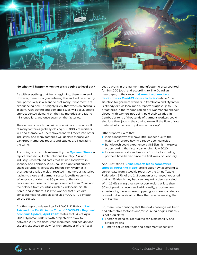

#### **So what will happen when the crisis begins to level out?**

As with everything that has a beginning, there is an end. However, there is no guaranteeing the end will be a happy one, particularly in a scenario that many, if not most, are experiencing now. It is highly likely that when an ending is in sight, rush buying and demand issues will occur, create unprecedented demand on the raw materials and fabric mills/suppliers, and once again on the factories.

year. Layoffs in the garment manufacturing area counted for 500,000 jobs,' and according to The Guardian newspaper, in their recent **['Garment workers face](https://www.theguardian.com/global-development/2020/mar/19/garment-workers-face-destitution-as-covid-19-closes-factories)  [destitution as Covid-19 closes factories'](https://www.theguardian.com/global-development/2020/mar/19/garment-workers-face-destitution-as-covid-19-closes-factories)** article, 'The situation for garment workers in Cambodia and Myanmar is already dire as local media reports suggest up to 10% of factories in the Yangon region of Myanmar are already closed, with workers not being paid their salaries. In Cambodia, tens of thousands of garment workers could also lose their jobs in the coming weeks if the flow of raw material into the country does not pick up.'

The demand crunch that will ensue will occur as a result of many factories globally closing. 100,000's of workers will find themselves unemployed and will move into other industries, and many factories will declare themselves

bankrupt. Numerous reports and studies are illustrating the same:

According to an article released by the **[Myanmar Times](https://www.mmtimes.com/news/pandemic-slow-myanmars-growth-drastically-analyst.html)**, a report released by Fitch Solutions Country Risk and Industry Research indicates that China's lockdown in January and February 2020, caused significant supply chain disruptions across the region. For Myanmar, a shortage of available cloth resulted in numerous factories having to close and garment sector lay-offs occurring. When you consider that 90 percent of the fabric processed in these factories gets sourced from China and the balance from countries such as Indonesia, South Korea, and Vietnam, it is little wonder that such dire consequences resulted as a result of COVID-19's impact on the sector.

Another report, released by THE WORLD BANK, **['East](https://www.worldbank.org/en/region/eap/publication/east-asia-pacific-economic-update)** 

**[Asia and the Pacific in the Time of COVID-19 – Regional](https://www.worldbank.org/en/region/eap/publication/east-asia-pacific-economic-update)  [Economic Update, April 2020'](https://www.worldbank.org/en/region/eap/publication/east-asia-pacific-economic-update)** states that, 'As of April 2020 Myanmar GDP Growth projected to slow to between 2-3% this fiscal year, manufacturing activity and exports expected to slow for the remainder of the fiscal

#### Other reports claim that:

► India's lockdown will have little impact due to the

majority of orders having already been canceled

- ► Bangladesh could experience a US\$6bn hit in exports orders during the fiscal year, ending July 2020
- ► Indonesian exports and imports from its top trading partners have halved since the first week of February

And, Just-style's **['China Exports hit as coronavirus](https://www.just-style.com/news/china-exports-hit-as-coronavirus-spreads-across-the-globe_id138445.aspx)  [spreads across the globe'](https://www.just-style.com/news/china-exports-hit-as-coronavirus-spreads-across-the-globe_id138445.aspx)** article cites how according to survey data from a weekly report by the China Textile Federation, 37% of the 242 companies surveyed, reported that on 25 March they had seen export orders canceled. With 26.4% saying they saw export orders at less than 50% of previous levels and additionally, exporters are experiencing cases where shipped goods are stranded or refused to be received on the other side, increasing the cost burden.

So, there is no doubting that the next challenge will be to

find alternative factories and/or sourcing origins, but this is not a quick fix:

- ► Factories need to get audited for sustainability and ethical trading
- ► Time to set up the tools and equipment specific to



Gravity Supply Chain Solutions